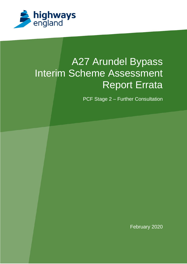

# A27 Arundel Bypass Interim Scheme Assessment Report Errata

PCF Stage 2 – Further Consultation

February 2020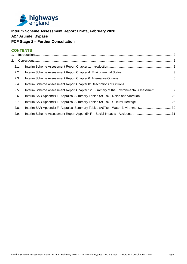

# **Interim Scheme Assessment Report Errata, February 2020 A27 Arundel Bypass PCF Stage 2 – Further Consultation**

# **CONTENTS**

| 1. |      |                                                                                       |  |
|----|------|---------------------------------------------------------------------------------------|--|
| 2. |      |                                                                                       |  |
|    |      |                                                                                       |  |
|    | 2.1. |                                                                                       |  |
|    | 2.2. |                                                                                       |  |
|    | 2.3. |                                                                                       |  |
|    | 2.4. |                                                                                       |  |
|    | 2.5. | Interim Scheme Assessment Report Chapter 12: Summary of the Environmental Assessment7 |  |
|    | 2.6. | Interim SAR Appendix F: Appraisal Summary Tables (ASTs) - Noise and Vibration23       |  |
|    | 2.7. | Interim SAR Appendix F: Appraisal Summary Tables (ASTs) - Cultural Heritage 26        |  |
|    | 2.8. | Interim SAR Appendix F: Appraisal Summary Tables (ASTs) - Water Environment30         |  |
|    | 2.9. |                                                                                       |  |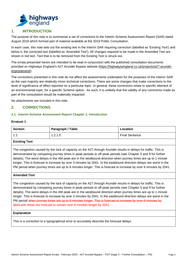

# **1. INTRODUCTION**

The purpose of this note is to summarise a set of corrections to the Interim Scheme Assessment Report (SAR) dated August 2019 which formed part of material available at the 2019 Public Consultation.

In each case, this note sets out the existing text in the Interim SAR requiring correction (labelled as 'Existing Text') and below it, the corrected text (labelled as 'Amended Text'). All changes required to be made in the Amended Text are shown in red text. Text that is to be removed from the Existing Text is struck-out.

The errata presented herein are intended to be read in conjunction with the published consultation documents provided on Highways England's A27 Arundel Bypass website (https://highwaysengland.co.uk/projects/a27-arundelimprovement/).

The corrections presented in this note do not affect the assessments undertaken for the purposes of the Interim SAR as the vast majority are relatively minor technical corrections. There are some changes that make corrections to the level of significance of effect reported on a particular topic. In general, these corrections relate to specific element of an environmental topic, for a specific Scheme option. As such, it is unlikely that the validity of any comments made as part of the consultation would be materially impacted.

No attachments are included in this note.

# **2. CORRECTIONS**

## **2.1. Interim Scheme Assessment Report Chapter 1: Introduction**

#### **Erratum 1**

| <b>Section</b>       | Paragraph / Table | Location              |
|----------------------|-------------------|-----------------------|
| - 1- 2               | 1.2.1.5           | <b>Final Sentence</b> |
| li Esclania al Escon |                   |                       |

## **Existing Text**

The congestion caused by the lack of capacity on the A27 through Arundel results in delays for traffic. This is demonstrated by comparing journey times in peak periods to off peak periods (see Chapter 5 and 9 for further details). The worst delays in the AM peak are in the westbound direction when journey times are up to 1 minute longer. This is forecast to increase by over 3 minutes by 2041. In the eastbound direction delays are worst in the PM period when journey times are up to 6 minutes longer. This is forecast to increase by over 6 minutes by 2041.

#### **Amended Text**

The congestion caused by the lack of capacity on the A27 through Arundel results in delays for traffic. This is demonstrated by comparing journey times in peak periods to off peak periods (see Chapter 5 and 9 for further details). The worst delays in the AM peak are in the westbound direction when journey times are up to 1 minute longer. This is forecast to increase by over 3 minutes by 2041. In the eastbound direction delays are worst in the PM period when journey times are up to 6 minutes longer. This is forecast to increase by over 6 minutes by 2041.and these are forecast to remain over 6 minutes longer by 2041.

#### **Explanation**

This is a correction to a typographical error to accurately describe the forecast delays.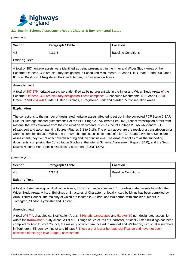

## **2.2. Interim Scheme Assessment Report Chapter 4: Environmental Status**

## **Erratum 1**

| <b>Section</b>                                                                                                                                                                                                                                                                                                                                                                                                                                                                                                                                                                                                                                                                                                                                                                                                                                                                           | Paragraph / Table | Location                   |  |  |
|------------------------------------------------------------------------------------------------------------------------------------------------------------------------------------------------------------------------------------------------------------------------------------------------------------------------------------------------------------------------------------------------------------------------------------------------------------------------------------------------------------------------------------------------------------------------------------------------------------------------------------------------------------------------------------------------------------------------------------------------------------------------------------------------------------------------------------------------------------------------------------------|-------------------|----------------------------|--|--|
| 4.3                                                                                                                                                                                                                                                                                                                                                                                                                                                                                                                                                                                                                                                                                                                                                                                                                                                                                      | 4.3.1.3           | <b>Baseline Conditions</b> |  |  |
| <b>Existing Text</b>                                                                                                                                                                                                                                                                                                                                                                                                                                                                                                                                                                                                                                                                                                                                                                                                                                                                     |                   |                            |  |  |
| A total of 387 heritage assets were identified as being present within the Inner and Wider Study Areas of the<br>Scheme. Of these, 325 are statutory designated: 6 Scheduled Monuments, 9 Grade I, 10 Grade II* and 300 Grade<br>II Listed Buildings, 1 Registered Park and Garden, 5 Conservation Areas.                                                                                                                                                                                                                                                                                                                                                                                                                                                                                                                                                                                |                   |                            |  |  |
| <b>Amended text</b>                                                                                                                                                                                                                                                                                                                                                                                                                                                                                                                                                                                                                                                                                                                                                                                                                                                                      |                   |                            |  |  |
| A total of 387-279 heritage assets were identified as being present within the Inner and Wider Study Areas of the<br>Scheme. Of these, 325 are statutory designated These comprise: 6 Scheduled Monuments, 5 9 Grade I, 8 40<br>Grade II* and 254 300 Grade II Listed Buildings, 1 Registered Park and Garden, 5 Conservation Areas.                                                                                                                                                                                                                                                                                                                                                                                                                                                                                                                                                     |                   |                            |  |  |
| <b>Explanation</b>                                                                                                                                                                                                                                                                                                                                                                                                                                                                                                                                                                                                                                                                                                                                                                                                                                                                       |                   |                            |  |  |
| The corrections to the number of designated heritage assets affected is set out in the corrected PCF Stage 2 EAR<br>Cultural Heritage chapter (Attachment 1 of the PCF Stage 2 EAR errata Feb 2020) reflect transcription errors from<br>material that was available from the consultation documents, such as the PCF Stage 2 EAR -Appendix 6-1<br>(Gazetteer) and accompanying figures (Figures 6-1 to 6-18). The errata above are the result of a transcription error<br>within a complex dataset. Whilst the erratum changes specific elements of this PCF Stage 2 (Options Selection)<br>assessment, they do not affect overall scoring and the conclusions. The erratum applies to all the supporting<br>documents, comprising the Consultation Brochure, the Interim Scheme Assessment Report (SAR), and the South<br>Downs National Park Special Qualities Assessment (SDNP SQA). |                   |                            |  |  |

#### **Erratum 2**

| <b>Section</b>       | Paragraph / Table | Location                   |
|----------------------|-------------------|----------------------------|
| 4.3                  | 4.3.1.4           | <b>Baseline Conditions</b> |
| <b>Existing Text</b> |                   |                            |

A total of 8 Archaeological Notification Areas, 3 Historic Landscapes and 51 non-designated assets lie within the Wider Study Areas. A list of Buildings or Structures of Character, or locally listed buildings has been compiled by Arun District Council, the majority of which are located in Arundel and Walberton, with smaller numbers in Tortington, Slindon, Lyminster and Binsted<sup>2</sup>.

#### **Amended text**

A total of 8 7 Archaeological Notification Areas, 3 Historic Landscapes and 54 over 50 non-designated assets lie within the Wider-Inner Study Areas. A list of Buildings or Structures of Character, or locally listed buildings has been compiled by Arun District Council, the majority of which are located in Arundel and Walberton, with smaller numbers in Tortington, Slindon, Lyminster and Binsted<sup>2</sup>. These are of lesser heritage significance and have not been assessed in this high level Stage 2 assessment.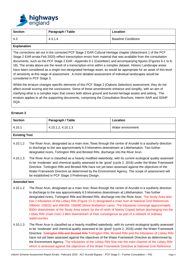

| <b>Section</b> | Paragraph / Table | Location                   |
|----------------|-------------------|----------------------------|
| -4.3           | 4.3.1.4           | <b>Baseline Conditions</b> |

The corrections set out in the corrected PCF Stage 2 EAR Cultural Heritage chapter (Attachment 1 of the PCF Stage 2 EAR errata Feb 2020) reflect transcription errors from material that was available from the consultation documents, such as the PCF Stage 2 EAR –Appendix 6-1 (Gazetteer) and accompanying figures (Figures 6-1 to 6- 18). The errata above are the result of a transcription error within a complex dataset. Historic Landscape areas have been considered as a single non-designated heritage asset, as would be appropriate for an asset of this level of sensitivity at this stage of assessment. A more detailed assessment of individual landscapes would be considered in PCF Stage 3.

Whilst the erratum changes specific elements of this PCF Stage 2 (Options Selection) assessment, they do not affect overall scoring and the conclusions. Some of these amendments enhance and simplify, with an aim of clarifying what is a complex topic that covers both above ground and buried heritage assets and setting. The erratum applies to all the supporting documents, comprising the Consultation Brochure, Interim SAR and SDNP SQA.

#### **Erratum 3**

| <b>Section</b>       |                                                                                                                                                                                                                                                                                                                                                                                                                                                                                                                                                                                                                                                                                                                                                                | Paragraph / Table                                                                                                                                                                                                                                                                                                       | Location                                                                                                                                                                                                                                                                                                                            |
|----------------------|----------------------------------------------------------------------------------------------------------------------------------------------------------------------------------------------------------------------------------------------------------------------------------------------------------------------------------------------------------------------------------------------------------------------------------------------------------------------------------------------------------------------------------------------------------------------------------------------------------------------------------------------------------------------------------------------------------------------------------------------------------------|-------------------------------------------------------------------------------------------------------------------------------------------------------------------------------------------------------------------------------------------------------------------------------------------------------------------------|-------------------------------------------------------------------------------------------------------------------------------------------------------------------------------------------------------------------------------------------------------------------------------------------------------------------------------------|
| 4.10.1               |                                                                                                                                                                                                                                                                                                                                                                                                                                                                                                                                                                                                                                                                                                                                                                | 4.10.1.2, 4.10.1.3                                                                                                                                                                                                                                                                                                      | Water environment                                                                                                                                                                                                                                                                                                                   |
| <b>Existing Text</b> |                                                                                                                                                                                                                                                                                                                                                                                                                                                                                                                                                                                                                                                                                                                                                                |                                                                                                                                                                                                                                                                                                                         |                                                                                                                                                                                                                                                                                                                                     |
| 4.10.1.2             | The River Arun, designated as a main river, flows through the centre of Arundel in a southerly direction<br>to discharge to the sea approximately 6.5 kilometres downstream at Littlehampton. Two further<br>designated rivers, Tortington Rife and Binsted Rife, discharge into the River Arun.                                                                                                                                                                                                                                                                                                                                                                                                                                                               |                                                                                                                                                                                                                                                                                                                         |                                                                                                                                                                                                                                                                                                                                     |
| 4.10.1.3             | The River Arun is classified as a heavily modified waterbody, with its current ecological quality assessed<br>to be 'moderate' and chemical quality assessed to be 'good' (cycle 2, 2016) under the Water Framework<br>Directive. Tortington Rife and Binsted Rife have not yet been assessed against the objectives of the<br>Water Framework Directive as determined by the Environment Agency. The scope of assessment will<br>be established in PCF Stage 3 Preliminary Design.                                                                                                                                                                                                                                                                            |                                                                                                                                                                                                                                                                                                                         |                                                                                                                                                                                                                                                                                                                                     |
| <b>Amended text</b>  |                                                                                                                                                                                                                                                                                                                                                                                                                                                                                                                                                                                                                                                                                                                                                                |                                                                                                                                                                                                                                                                                                                         |                                                                                                                                                                                                                                                                                                                                     |
| 4.10.1.2             | The River Arun, designated as a main river, flows through the centre of Arundel in a southerly direction<br>to discharge to the sea approximately 6.5 kilometres downstream at Littlehampton. Two further<br>designated rivers, Tortington Rife and Binsted Rife, discharge into the River Arun. The Study Area also<br>has 2 tributaries of the Lidsey Rife (Figure 13-2) designated a main river at National Grid References<br>496644, 106031 and 496458, 106090 (West Walberton Lane). The tributaries converge approximately<br>800m downstream of the Study Area extent (to the of north of Nanny Copse) before discharging into the<br>Lidsey Rife (main river) 2.8km downstream of their convergence as part of a network of ordinary<br>watercourses. |                                                                                                                                                                                                                                                                                                                         |                                                                                                                                                                                                                                                                                                                                     |
| 4.10.1.3             |                                                                                                                                                                                                                                                                                                                                                                                                                                                                                                                                                                                                                                                                                                                                                                | have not yet been assessed against the objectives of the Water Framework Directive as determined by<br>the Environment Agency. The tributaries of the Lidsey Rife flow into the main channel of the Lidsey Rife<br>which is assessed against the objectives of the Water Framework Directive at National Grid Reference | The River Arun is classified as a heavily modified waterbody, with its current ecological quality assessed<br>to be 'moderate' and chemical quality assessed to be 'good' (cycle 2, 2016) under the Water Framework<br>Directive. Tortington Rife and Binsted Rife Tortington Rife, Binsted Rife and the tributaries of Lidsey Rife |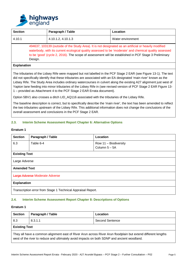

| <b>Section</b>                                                                                                                                                                                                                                                                                                                     | Paragraph / Table  | Location          |
|------------------------------------------------------------------------------------------------------------------------------------------------------------------------------------------------------------------------------------------------------------------------------------------------------------------------------------|--------------------|-------------------|
| 4.10.1                                                                                                                                                                                                                                                                                                                             | 4.10.1.2, 4.10.1.3 | Water environment |
| 494637, 103139 (outside of the Study Area). It is not designated as an artificial or heavily modified<br>waterbody, with its current ecological quality assessed to be 'moderate' and chemical quality assessed<br>to be 'good' (cycle 2, 2016). The scope of assessment will be established in PCF Stage 3 Preliminary<br>Design. |                    |                   |
| <b>Explanation</b>                                                                                                                                                                                                                                                                                                                 |                    |                   |
| The tributaries of the Lidsey Rife were mapped but not labelled in the PCF Stage 2 EAR (see Figure 13-1). The text<br>alah pengadi pengalungkan telah dan terbesatu pengandan dan berasalan KA dan pengandan terbesarkan bersampan te                                                                                              |                    |                   |

did not specifically identify that these tributaries are associated with an EA designated 'main river' known as the Lidsey Rife. The Study Area includes ordinary watercourses in culvert along the existing A27 alignment just west of Yapton lane feeding into minor tributaries of the Lidsey Rife in (see revised version of PCF Stage 2 EAR Figure 13- 1 – provided as Attachment 4 to the PCF Stage 2 EAR Errata document).

Option 5BV1 also crosses a ditch LID\_AQ116 associated with the tributaries of the Lidsey Rife.

The baseline description is correct, but to specifically describe the 'main river', the text has been amended to reflect the two tributaries upstream of the Lidsey Rife. This additional information does not change the conclusions of the overall assessment and conclusions in the PCF Stage 2 EAR.

# **2.3. Interim Scheme Assessment Report Chapter 6: Alternative Options**

## **Erratum 1**

| <b>Section</b>                                               | Paragraph / Table | Location                                 |  |  |
|--------------------------------------------------------------|-------------------|------------------------------------------|--|--|
| 6.3                                                          | Table 6-4         | Row 11 - Biodiversity<br>Column $5 - 5A$ |  |  |
| <b>Existing Text</b>                                         |                   |                                          |  |  |
| Large Adverse                                                |                   |                                          |  |  |
| <b>Amended Text</b>                                          |                   |                                          |  |  |
| Large Adverse Moderate Adverse                               |                   |                                          |  |  |
| <b>Explanation</b>                                           |                   |                                          |  |  |
| Transcription error from Stage 1 Technical Appraisal Report. |                   |                                          |  |  |

## **2.4. Interim Scheme Assessment Report Chapter 8: Descriptions of Options**

#### **Erratum 1**

| <b>Section</b>                                                                                                                                                                                               | Paragraph / Table | Location        |  |  |
|--------------------------------------------------------------------------------------------------------------------------------------------------------------------------------------------------------------|-------------------|-----------------|--|--|
| 8.3                                                                                                                                                                                                          | 8.3.1.1           | Second Sentence |  |  |
| <b>Existing Text</b>                                                                                                                                                                                         |                   |                 |  |  |
| They all have a common alignment east of River Arun across River Arun floodplain but extend different lengths<br>west of the river to reduce and ultimately avoid impacts on both SDNP and ancient woodland. |                   |                 |  |  |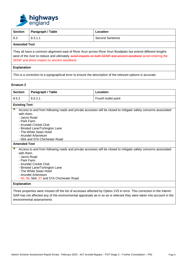

| <b>Section</b>                                                                                                                                                                                                                                                                | Paragraph / Table | Location        |  |  |
|-------------------------------------------------------------------------------------------------------------------------------------------------------------------------------------------------------------------------------------------------------------------------------|-------------------|-----------------|--|--|
| 8.3                                                                                                                                                                                                                                                                           | 8.3.1.1           | Second Sentence |  |  |
| <b>Amended Text</b>                                                                                                                                                                                                                                                           |                   |                 |  |  |
| They all have a common alignment east of River Arun across River Arun floodplain but extend different lengths<br>west of the river to reduce and ultimately avoid impacts on both SDNP and ancient woodland avoid entering the<br>SDNP and direct impact on ancient woodland. |                   |                 |  |  |
| <b>Explanation</b>                                                                                                                                                                                                                                                            |                   |                 |  |  |
| This is a correction to a typographical error to ensure the description of the relevant options is accurate.                                                                                                                                                                  |                   |                 |  |  |

| <b>Section</b>                                                                                                                                                                                                                                                                                                        | Paragraph / Table | Location            |  |  |
|-----------------------------------------------------------------------------------------------------------------------------------------------------------------------------------------------------------------------------------------------------------------------------------------------------------------------|-------------------|---------------------|--|--|
| 8.5.2                                                                                                                                                                                                                                                                                                                 | 8.5.2.1           | Fourth bullet point |  |  |
| <b>Existing Text</b>                                                                                                                                                                                                                                                                                                  |                   |                     |  |  |
| Access to and from following roads and private accesses will be closed to mitigate safety concerns associated<br>with them.<br>- Jarvis Road<br>- Park Farm<br>- Arundel Cricket Club<br>- Binsted Lane/Tortington Lane<br>- The White Swan Hotel<br>- Arundel Arboretum<br>- 56A and 57A Chichester Road             |                   |                     |  |  |
| <b>Amended Text</b>                                                                                                                                                                                                                                                                                                   |                   |                     |  |  |
| Access to and from following roads and private accesses will be closed to mitigate safety concerns associated<br>with them.<br>- Jarvis Road<br>- Park Farm<br>- Arundel Cricket Club<br>- Binsted Lane/Tortington Lane<br>- The White Swan Hotel<br>- Arundel Arboretum<br>- 55, 56, 56A, 57 and 57A Chichester Road |                   |                     |  |  |
| <b>Explanation</b>                                                                                                                                                                                                                                                                                                    |                   |                     |  |  |
| Three properties were missed off the list of accesses affected by Option 1V5 in error. This correction in the Interim<br>SAR has not affected any of the environmental appraisals as in so as is relevant they were taken into account in the                                                                         |                   |                     |  |  |

environmental assessments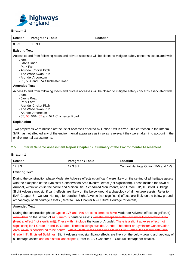

| <b>Section</b>                                                                                                                                                                                                                                                                     | Paragraph / Table | Location                                                                                                           |  |  |
|------------------------------------------------------------------------------------------------------------------------------------------------------------------------------------------------------------------------------------------------------------------------------------|-------------------|--------------------------------------------------------------------------------------------------------------------|--|--|
| 8.5.3                                                                                                                                                                                                                                                                              | 8.5.3.1           |                                                                                                                    |  |  |
| <b>Existing Text</b>                                                                                                                                                                                                                                                               |                   |                                                                                                                    |  |  |
| them.<br>- Jarvis Road<br>- Park Farm                                                                                                                                                                                                                                              |                   | Access to and from following roads and private accesses will be closed to mitigate safety concerns associated with |  |  |
| - Arundel Cricket Pitch<br>- The White Swan Pub<br>- Arundel Arboretum<br>- 55, 56A and 57A Chichester Road                                                                                                                                                                        |                   |                                                                                                                    |  |  |
| <b>Amended Text</b>                                                                                                                                                                                                                                                                |                   |                                                                                                                    |  |  |
| Access to and from following roads and private accesses will be closed to mitigate safety concerns associated with<br>them.<br>- Jarvis Road<br>- Park Farm<br>- Arundel Cricket Pitch<br>- The White Swan Pub<br>- Arundel Arboretum<br>- 55, 56, 56A, 57 and 57A Chichester Road |                   |                                                                                                                    |  |  |
| <b>Explanation</b>                                                                                                                                                                                                                                                                 |                   |                                                                                                                    |  |  |
| Two properties were missed off the list of accesses affected by Option 1V9 in error. This correction in the Interim<br>SAR has not affected any of the environmental appraisals as in so as is relevant they were taken into account in the                                        |                   |                                                                                                                    |  |  |

## **2.5. Interim Scheme Assessment Report Chapter 12: Summary of the Environmental Assessment**

## **Erratum 1**

| Section | Paragraph / Table | Location                             |
|---------|-------------------|--------------------------------------|
| 12.3.3  | 12.3.3.1          | Cultural Heritage Option 1V5 and 1V9 |
| _ _ _   |                   |                                      |

#### **Existing Text**

environmental assessments.

During the construction phase Moderate Adverse effects (significant) were likely on the setting of all heritage assets with the exception of the Lyminster Conservation Area (Neutral effect (not significant)). These include the town of Arundel, within which lie the castle and Maison Dieu Scheduled Monuments, and Grade I, II\*, II, Listed Buildings. Slight Adverse (not significant) effects are likely on the below ground archaeology of all heritage assets (Refer to EAR Chapter 6 – Cultural Heritage for details). Sight Adverse (not significant) effects are likely on the below ground archaeology of all heritage assets (Refer to EAR Chapter 6 – Cultural Heritage for details).

#### **Amended Text**

During the construction phase Option 1V5 and 1V9 are considered to have Moderate Adverse effects (significant) were likely on the setting of all numerous heritage assets with the exception of the Lyminster Conservation Area (Neutral effect (not significant)). These within include the town of Arundel. There is a slight adverse effect (not significant) for 1 Grade II<sup>\*</sup> and 10 Grade II listed buildings outside Arundel. The effect on Lyminster Conservation Area which is considered to be neutral. within which lie the castle and Maison Dieu Scheduled Monuments, and Grade I, II<sup>\*</sup>, II, Listed Buildings. Slight Adverse (not significant) effects are likely on the below ground archaeology of all heritage assets and on historic landscapes (Refer to EAR Chapter 6 – Cultural Heritage for details).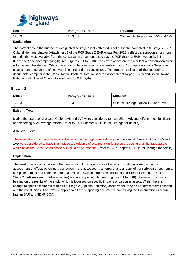

| <b>Section</b> | Paragraph / Table | Location                             |
|----------------|-------------------|--------------------------------------|
| 12.3.3         | 12.3.3.1          | Cultural Heritage Option 1V5 and 1V9 |
| Evaluation.    |                   |                                      |

The corrections to the number of designated heritage assets affected is set out in the corrected PCF Stage 2 EAR Cultural Heritage chapter (Attachment 1 of the PCF Stage 2 EAR errata Feb 2020) reflect transcription errors from material that was available from the consultation documents, such as the PCF Stage 2 EAR –Appendix 6-1 (Gazetteer) and accompanying figures (Figures 6-1 to 6-18). The errata above are the result of a transcription error within a complex dataset. Whilst the erratum changes specific elements of this PCF Stage 2 (Options Selection) assessment, they do not affect overall scoring and the conclusions. The erratum applies to all the supporting documents, comprising the Consultation Brochure, Interim Scheme Assessment Report (SAR) and South Downs National Park Special Quality Assessment (SDNP SQA).

#### **Erratum 2**

| <b>Section</b> | Paragraph / Table | Location                             |
|----------------|-------------------|--------------------------------------|
| 12.3.3         | 12.3.3.2          | Cultural Heritage Option 1V5 and 1V9 |
| アルシュピー エアー・イ   |                   |                                      |

#### **Existing Text**

During the operational phase, Option 1V5 and 1V9 were considered to have Slight Adverse effects (not significant) on the setting of all heritage assets (Refer to EAR Chapter 6 – Cultural Heritage for details).

## **Amended Text**

The residual environmental effects on the setting of heritage assets during the operational phase of Option 1V5 and 1V9 were considered to have Slight Moderate Adverse effects (not significant) on the setting of all heritage assets would be as the Construction phase but would be permanent. (Refer to EAR Chapter 6 – Cultural Heritage for details).

#### **Explanation**

The erratum is a simplification of the description of the significance of effects. It is also a correction in the assessment of effects following a correction in the asset count, an error that is a result of transcription errors from a complete dataset and contained material that was available from the consultation documents, such as the PCF Stage 2 EAR –Appendix 6-1 (Gazetteer) and accompanying figures (Figures 6-1 to 6-18). However, this has no bearing on the results of the study, which is focussed on specific impacts of particular assets. Whilst there is change to specific elements of this PCF Stage 2 (Options Selection) assessment, they do not affect overall scoring and the conclusions. The erratum applies to all the supporting documents, comprising the Consultation Brochure, Interim SAR and SDNP SQA.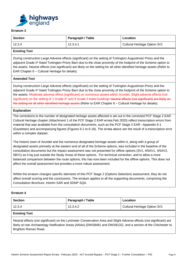

| <b>Section</b> | Paragraph / Table | Location                     |
|----------------|-------------------|------------------------------|
| 12.3.4         | 12.3.4.1          | Cultural Heritage Option 3V1 |

## **Existing Text**

During construction Large Adverse effects (significant) on the setting of Tortington Augustinian Priory and the adjacent Grade II\* listed Tortington Priory Barn due to the close proximity of the footprint of the Scheme option to the assets. Neutral effects (not significant) are likely on the setting for all other identified heritage assets (Refer to EAR Chapter 6 – Cultural Heritage for details).

## **Amended Text**

During construction Large Adverse effects (significant) on the setting of Tortington Augustinian Priory and the adjacent Grade II\* listed Tortington Priory Barn due to the close proximity of the footprint of the Scheme option to the assets. Moderate adverse effect (significant) on numerous assets within Arundel. Slight adverse effects (not significant) on the setting of 1 Grade II<sup>\*</sup> and 9 Grade II listed buildings Neutral effects (not significant) are likely on the setting for all other identified heritage assets (Refer to EAR Chapter 6 – Cultural Heritage for details).

## **Explanation**

The corrections to the number of designated heritage assets affected is set out in the corrected PCF Stage 2 EAR Cultural Heritage chapter (Attachment 1 of the PCF Stage 2 EAR errata Feb 2020) reflect transcription errors from material that was available from the consultation documents, such as the PCF Stage 2 EAR –Appendix 6-1 (Gazetteer) and accompanying figures (Figures 6-1 to 6-18). The errata above are the result of a transcription error within a complex dataset.

The historic town of Arundel and the numerous designated heritage assets within it, along with a group of designated assets primarily at the eastern end of all of the Scheme options, was included in the baseline of the consultation documents but the impact assessment was not presented for offline options (3V1, 4/5AV1, 4/5AV2, 5BV1) as it lay just outside the Study Areas of these options. For technical correction, and to allow a more balanced comparison between the route options, this has now been included for the offline options. This does not affect the overall assessment but provides a more robust assessment.

Whilst the erratum changes specific elements of this PCF Stage 2 (Options Selection) assessment, they do not affect overall scoring and the conclusions. The erratum applies to all the supporting documents, comprising the Consultation Brochure, Interim SAR and SDNP SQA.

## **Erratum 4**

| <b>Section</b>                                                                                                                                                                                                                                                 | Paragraph / Table | Location                     |
|----------------------------------------------------------------------------------------------------------------------------------------------------------------------------------------------------------------------------------------------------------------|-------------------|------------------------------|
| 12.3.4                                                                                                                                                                                                                                                         | 12.3.4.2          | Cultural Heritage Option 3V1 |
| <b>Existing Text</b>                                                                                                                                                                                                                                           |                   |                              |
| Neutral effects (not significant) on the Lyminster Conservation Area and Slight Adverse effects (not significant) are<br>likely on two Archaeology Notification Areas (ANAs) (DWS8481 and DWS8132), and a section of the Chichester to<br>Brighton Roman Road. |                   |                              |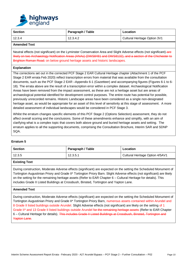

| Section | Paragraph / Table | Location                     |
|---------|-------------------|------------------------------|
| 12.3.4  | 12.3.4.2          | Cultural Heritage Option 3V1 |

#### **Amended Text**

Neutral effects (not significant) on the Lyminster Conservation Area and Slight Adverse effects (not significant)-are likely on two Archaeology Notification Areas (ANAs) (DWS8481 and DWS8132), and a section of the Chichester to Brighton Roman Road. on below ground heritage assets and historic landscapes.

## **Explanation**

The corrections set out in the corrected PCF Stage 2 EAR Cultural Heritage chapter (Attachment 1 of the PCF Stage 2 EAR errata Feb 2020) reflect transcription errors from material that was available from the consultation documents, such as the PCF Stage 2 EAR –Appendix 6-1 (Gazetteer) and accompanying figures (Figures 6-1 to 6- 18). The errata above are the result of a transcription error within a complex dataset. Archaeological Notification Areas have been removed from the impact assessment, as these are not a heritage asset but are areas of archaeological potential identified for development control purposes. The entire route has potential for possible, previously unrecorded remains. Historic Landscape areas have been considered as a single non-designated heritage asset, as would be appropriate for an asset of this level of sensitivity at this stage of assessment. A more detailed assessment of individual landscapes would be considered in PCF Stage 3.

Whilst the erratum changes specific elements of this PCF Stage 2 (Options Selection) assessment, they do not affect overall scoring and the conclusions. Some of these amendments enhance and simplify, with an aim of clarifying what is a complex topic that covers both above ground and buried heritage assets and setting. The erratum applies to all the supporting documents, comprising the Consultation Brochure, Interim SAR and SDNP SQA.

#### **Erratum 5**

| <b>Section</b> | Paragraph / Table | Location                        |
|----------------|-------------------|---------------------------------|
| 12.3.5         | 12.3.5.1          | Cultural Heritage Option 4/5AV1 |

## **Existing Text**

During construction, Moderate Adverse effects (significant) are expected on the setting the Scheduled Monument of Tortington Augustinian Priory and Grade II\* Tortington Priory Barn. Slight Adverse effects (not significant) are likely on the setting for the remaining heritage assets (Refer to EAR Chapter 6 – Cultural Heritage for details). This includes Grade II Listed Buildings at Crossbush, Binsted, Tortington and Yapton Lane.

## **Amended Text**

During construction, Moderate Adverse effects (significant) are expected on the setting the Scheduled Monument of Tortington Augustinian Priory and Grade II\* Tortington Priory Barn, numerous assets contained within Arundel and 8 Grade II listed buildings outside Arundel. Slight Adverse effects (not significant) are likely on the setting of 1 Grade II<sup>\*</sup> and 13 Grade II listed buildings outside Arundel for the remaining heritage assets (Refer to EAR Chapter 6 – Cultural Heritage for details). This includes Grade II Listed Buildings at Crossbush, Binsted, Tortington and Yapton Lane.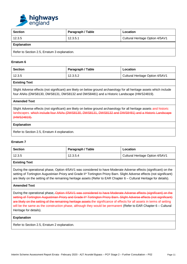

| <b>Section</b>                               | Paragraph / Table | Location                        |
|----------------------------------------------|-------------------|---------------------------------|
| 12.3.5                                       | 12.3.5.1          | Cultural Heritage Option 4/5AV1 |
| <b>Explanation</b>                           |                   |                                 |
| Refer to Section 2.5, Erratum 3 explanation. |                   |                                 |

| <b>Section</b> | Paragraph / Table | Location                        |
|----------------|-------------------|---------------------------------|
| 12.3.5         | 12.3.5.2          | Cultural Heritage Option 4/5AV1 |

## **Existing Text**

Slight Adverse effects (not significant) are likely on below ground archaeology for all heritage assets which include four ANAs (DWS8130, DWS8131, DWS8132 and DWS8481) and a Historic Landscape (HWS24819).

## **Amended Text**

Slight Adverse effects (not significant) are likely on below ground archaeology for all heritage assets and historic landscapes. which include four ANAs (DWS8130, DWS8131, DWS8132 and DWS8481) and a Historic Landscape (HWS24819).

#### **Explanation**

Refer to Section 2.5, Erratum 4 explanation.

## **Erratum 7**

| Section | Paragraph / Table | Location                        |
|---------|-------------------|---------------------------------|
| 12.3.5  | 12.3.5.4          | Cultural Heritage Option 4/5AV1 |

## **Existing Text**

During the operational phase, Option 4/5AV1 was considered to have Moderate Adverse effects (significant) on the setting of Tortington Augustinian Priory and Grade II\* Tortington Priory Barn. Slight Adverse effects (not significant) are likely on the setting of the remaining heritage assets (Refer to EAR Chapter 6 – Cultural Heritage for details).

#### **Amended Text**

During the operational phase, Option 4/5AV1 was considered to have Moderate Adverse effects (significant) on the setting of Tortington Augustinian Priory and Grade II\* Tortington Priory Barn. Slight Adverse effects (not significant) are likely on the setting of the remaining heritage assets the significance of effects for all assets in terms of setting will be the same as the construction phase, although they would be permanent (Refer to EAR Chapter 6 – Cultural Heritage for details).

#### **Explanation**

Refer to Section 2.5, Erratum 2 explanation.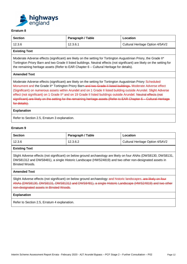

| <b>Section</b> | Paragraph / Table | Location                        |
|----------------|-------------------|---------------------------------|
| 12.3.6         | 12.3.6.1          | Cultural Heritage Option 4/5AV2 |

## **Existing Text**

Moderate Adverse effects (significant) are likely on the setting for Tortington Augustinian Priory, the Grade II\* Tortington Priory Barn and two Grade II listed buildings. Neutral effects (not significant) are likely on the setting for the remaining heritage assets (Refer to EAR Chapter 6 – Cultural Heritage for details).

## **Amended Text**

Moderate Adverse effects (significant) are likely on the setting for Tortington Augustinian Priory Scheduled Monument and the Grade II\* Tortington Priory Barn and two Grade II listed buildings. Moderate Adverse effect (Significant) on numerous assets within Arundel and on 1 Grade II listed building outside Arundel. Slight Adverse effect (not significant) on 1 Grade II\* and on 19 Grade II listed buildings outside Arundel. Neutral effects (not significant) are likely on the setting for the remaining heritage assets (Refer to EAR Chapter 6 – Cultural Heritage for details).

#### **Explanation**

Refer to Section 2.5, Erratum 3 explanation.

## **Erratum 9**

| Section | Paragraph / Table | Location                        |
|---------|-------------------|---------------------------------|
| 12.3.6  | 12.3.6.2          | Cultural Heritage Option 4/5AV2 |

## **Existing Text**

Slight Adverse effects (not significant) on below ground archaeology are likely on four ANAs (DWS8130, DWS8131, DWS81312 and DWS8481), a single Historic Landscape (HWS24819) and two other non-designated assets in Binsted Woods.

#### **Amended Text**

Slight Adverse effects (not significant) on below ground archaeology and historic landscapes. are likely on four ANAs (DWS8130, DWS8131, DWS81312 and DWS8481), a single Historic Landscape (HWS24819) and two other non-designated assets in Binsted Woods.

#### **Explanation**

Refer to Section 2.5, Erratum 4 explanation.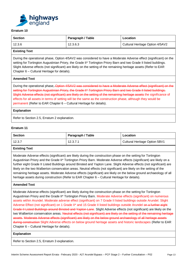

| <b>Section</b> | Paragraph / Table | Location                        |
|----------------|-------------------|---------------------------------|
| 12.3.6         | 12.3.6.3          | Cultural Heritage Option 4/5AV2 |

## **Existing Text**

During the operational phase, Option 4/5AV2 was considered to have a Moderate Adverse effect (significant) on the setting for Tortington Augustinian Priory, the Grade II\* Tortington Priory Barn and two Grade II listed buildings. Slight Adverse effects (not significant) are likely on the setting of the remaining heritage assets (Refer to EAR Chapter 6 – Cultural Heritage for details).

#### **Amended Text**

During the operational phase, Option 4/5AV2 was considered to have a Moderate Adverse effect (significant) on the setting for Tortington Augustinian Priory, the Grade II\* Tortington Priory Barn and two Grade II listed buildings. Slight Adverse effects (not significant) are likely on the setting of the remaining heritage assets the significance of effects for all assets in terms of setting will be the same as the construction phase, although they would be permanent (Refer to EAR Chapter 6 – Cultural Heritage for details).

#### **Explanation**

Refer to Section 2.5, Erratum 2 explanation.

## **Erratum 11**

| <b>Section</b> | Paragraph / Table | Location                      |
|----------------|-------------------|-------------------------------|
| 12.3.7         | 12.3.7.1          | Cultural Heritage Option 5BV1 |

## **Existing Text**

Moderate Adverse effects (significant) are likely during the construction phase on the setting for Tortington Augustinian Priory and the Grade II\* Tortington Priory Barn. Moderate Adverse effects (significant) are likely on a further eight Grade II Listed Buildings around Binsted and Yapton Lane. Slight Adverse effects (not significant) are likely on the two Walberton conservation areas. Neutral effects (not significant) are likely on the setting of the remaining heritage assets. Moderate Adverse effects (significant) are likely on the below ground archaeology of all heritage assets during construction (Refer to EAR Chapter 6 – Cultural Heritage for details).

#### **Amended Text**

Moderate Adverse effects (significant) are likely during the construction phase on the setting for Tortington Augustinian Priory and the Grade II\* Tortington Priory Barn. Moderate Adverse effects (significant) on numerous assets within Arundel. Moderate adverse effect (significant) on 7 Grade II listed buildings outside Arundel. Slight Adverse Effect (not significant) on 1 Grade II<sup>\*</sup> and 15 Grade II listed buildings outside Arundel on a further eight Grade II Listed Buildings around Binsted and Yapton Lane. Slight Adverse effects (not significant) are likely on the two Walberton conservation areas. Neutral effects (not significant) are likely on the setting of the remaining heritage assets. Moderate Adverse effects (significant) are likely on the below ground archaeology of all heritage assets during construction Slight Adverse effects on below ground heritage assets and historic landscapes (Refer to EAR Chapter 6 – Cultural Heritage for details).

#### **Explanation**

Refer to Section 2.5, Erratum 3 explanation.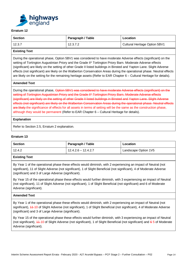

| <b>Section</b> | Paragraph / Table | Location                      |
|----------------|-------------------|-------------------------------|
| 12.3.7         | 12.3.7.2          | Cultural Heritage Option 5BV1 |

## **Existing Text**

During the operational phase, Option 5BV1 was considered to have moderate Adverse effects (significant) on the setting of Tortington Augustinian Priory and the Grade II\* Tortington Priory Barn. Moderate Adverse effects (significant) are likely on the setting of other Grade II listed buildings in Binsted and Yapton Lane. Slight Adverse effects (not significant) are likely on the Walberton Conservation Areas during the operational phase. Neutral effects are likely on the setting for the remaining heritage assets (Refer to EAR Chapter 6 – Cultural Heritage for details).

## **Amended Text**

During the operational phase, Option 5BV1 was considered to have moderate Adverse effects (significant) on the setting of Tortington Augustinian Priory and the Grade II\* Tortington Priory Barn. Moderate Adverse effects (significant) are likely on the setting of other Grade II listed buildings in Binsted and Yapton Lane. Slight Adverse effects (not significant) are likely on the Walberton Conservation Areas during the operational phase. Neutral effects are likely the significance of effects for all assets in terms of setting will be the same as the construction phase, although they would be permanent (Refer to EAR Chapter 6 – Cultural Heritage for details).

#### **Explanation**

Refer to Section 2.5, Erratum 2 explanation.

## **Erratum 13**

| Section | Paragraph / Table     | Location             |
|---------|-----------------------|----------------------|
| 12.4.2  | $12.4.2.6 - 12.4.2.7$ | Landscape Option 1V5 |

## **Existing Text**

By Year 1 of the operational phase these effects would diminish, with 2 experiencing an impact of Neutral (not significant), 11 of Slight Adverse (not significant), 1 of Slight Beneficial (not significant), 4 of Moderate Adverse (significant) and 3 of Large Adverse (significant).

By Year 15 of the operational phase these effects would further diminish, with 3 experiencing an impact of Neutral (not significant), 11 of Slight Adverse (not significant), 1 of Slight Beneficial (not significant) and 6 of Moderate Adverse (significant).

## **Amended Text**

By Year 1 of the operational phase these effects would diminish, with 2 experiencing an impact of Neutral (not significant), 44-10 of Slight Adverse (not significant), 1 of Slight Beneficial (not significant), 4 of Moderate Adverse (significant) and 3 of Large Adverse (significant).

By Year 15 of the operational phase these effects would further diminish, with 3 experiencing an impact of Neutral (not significant),  $14-10$  of Slight Adverse (not significant), 1 of Slight Beneficial (not significant) and  $65$  of Moderate Adverse (significant).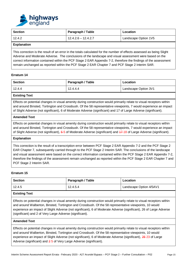

| <b>Section</b>     | Paragraph / Table     | Location             |
|--------------------|-----------------------|----------------------|
| 12.4.2             | $12.4.2.6 - 12.4.2.7$ | Landscape Option 1V5 |
| <b>Explanation</b> |                       |                      |

This correction is the result of an error in the totals calculated for the number of effects assessed as being Slight Adverse and Moderate Adverse. The conclusions of the landscape and visual assessment were based on the correct information contained within the PCF Stage 2 EAR Appendix 7-2, therefore the findings of the assessment remain unchanged as reported within the PCF Stage 2 EAR Chapter 7 and PCF Stage 2 Interim SAR.

## **Erratum 14**

| <b>Section</b> | Paragraph / Table | Location             |
|----------------|-------------------|----------------------|
| 12.4.4         | 12.4.4.4          | Landscape Option 3V1 |

#### **Existing Text**

Effects on potential changes in visual amenity during construction would primarily relate to visual receptors within and around Binsted, Tortington and Crossbush. Of the 58 representative viewpoints, 7 would experience an impact of Slight Adverse (not significant), 6 of Moderate Adverse (significant) and 17 of Large Adverse (significant).

#### **Amended Text**

Effects on potential changes in visual amenity during construction would primarily relate to visual receptors within and around Binsted, Tortington and Crossbush. Of the 58 representative viewpoints, 7 would experience an impact of Slight Adverse (not significant), 6-5 of Moderate Adverse (significant) and 47-18 of Large Adverse (significant).

#### **Explanation**

This correction is the result of a transcription error between PCF Stage 2 EAR Appendix 7-2 and the PCF Stage 2 EAR Chapter 7, subsequently carried through to the PCF Stage 2 Interim SAR. The conclusions of the landscape and visual assessment were based on the correct information contained within the PCF Stage 2 EAR Appendix 7-2, therefore the findings of the assessment remain unchanged as reported within the PCF Stage 2 EAR Chapter 7 and PCF Stage 2 Interim SAR.

## **Erratum 15**

| Section | Paragraph / Table | Location                |
|---------|-------------------|-------------------------|
| 12.4.5  | 12.4.5.4          | Landscape Option 4/5AV1 |

# **Existing Text**

Effects on potential changes in visual amenity during construction would primarily relate to visual receptors within and around Walberton, Binsted, Tortington and Crossbush. Of the 58 representative viewpoints, 10 would experience an impact of Slight Adverse (not significant), 6 of Moderate Adverse (significant), 26 of Large Adverse (significant) and 2 of Very Large Adverse (significant).

#### **Amended Text**

Effects on potential changes in visual amenity during construction would primarily relate to visual receptors within and around Walberton, Binsted, Tortington and Crossbush. Of the 58 representative viewpoints, 10 would experience an impact of Slight Adverse (not significant), 6 of Moderate Adverse (significant), 26 23 of Large Adverse (significant) and 2 5 of Very Large Adverse (significant).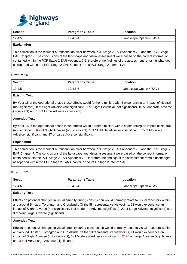

| <b>Section</b> | Paragraph / Table | Location                |
|----------------|-------------------|-------------------------|
| 12.4.5         | 12.4.5.4          | Landscape Option 4/5AV1 |

This correction is the result of a transcription error between PCF Stage 2 EAR Appendix 7-2 and the PCF Stage 2 EAR Chapter 7. The conclusions of the landscape and visual assessment were based on the correct information contained within the PCF Stage 2 EAR Appendix 7-2, therefore the findings of the assessment remain unchanged as reported within the PCF Stage 2 EAR Chapter 7 and PCF Stage 2 Interim SAR.

## **Erratum 16**

| <b>Section</b> | Paragraph / Table | Location                |
|----------------|-------------------|-------------------------|
| 12.4.5         | 12.4.5.6          | Landscape Option 4/5AV1 |

## **Existing Text**

By Year 15 of the operational phase these effects would further diminish, with 3 experiencing an impact of Neutral (not significant), 8 of Slight Adverse (not significant), 1 of Slight Beneficial (not significant), 15 of Moderate Adverse (significant) and 17 of Large Adverse (significant).

#### **Amended Text**

By Year 15 of the operational phase these effects would further diminish, with 3 experiencing an impact of Neutral (not significant), 8 9 of Slight Adverse (not significant), 1 of Slight Beneficial (not significant), 15 of Moderate Adverse (significant) and 17 of Large Adverse (significant).

#### **Explanation**

This correction is the result of a transcription error between PCF Stage 2 EAR Appendix 7-2 and the PCF Stage 2 EAR Chapter 7. The conclusions of the landscape and visual assessment were based on the correct information contained within the PCF Stage 2 EAR Appendix 7-2, therefore the findings of the assessment remain unchanged as reported within the PCF Stage 2 EAR Chapter 7 and PCF Stage 2 Interim SAR.

## **Erratum 17**

| <b>Section</b>       | Paragraph / Table | Location                |
|----------------------|-------------------|-------------------------|
| 12.4.6               | 12.4.6.4          | Landscape Option 4/5AV2 |
| <b>Existing Text</b> |                   |                         |

Effects on potential changes in visual amenity during construction would primarily relate to visual receptors within and around Binsted, Tortington and Crossbush. Of the 58 representative viewpoints, 11 would experience an impact of Slight Adverse (not significant), 6 of Moderate Adverse (significant), 22 of Large Adverse (significant) and 3 of Very Large Adverse (significant).

#### **Amended Text**

Effects on potential changes in visual amenity during construction would primarily relate to visual receptors within and around Binsted, Tortington and Crossbush. Of the 58 representative viewpoints, 11 would experience an impact of Slight Adverse (not significant), 6 of Moderate Adverse (significant), 22 20 of Large Adverse (significant) and 3 5 of Very Large Adverse (significant).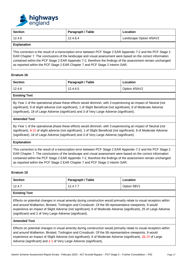

|        | Paragraph / Table | Location                |
|--------|-------------------|-------------------------|
| 12.4.6 | 12.4.6.4          | Landscape Option 4/5AV2 |

This correction is the result of a transcription error between PCF Stage 2 EAR Appendix 7-2 and the PCF Stage 2 EAR Chapter 7. The conclusions of the landscape and visual assessment were based on the correct information contained within the PCF Stage 2 EAR Appendix 7-2, therefore the findings of the assessment remain unchanged as reported within the PCF Stage 2 EAR Chapter 7 and PCF Stage 2 Interim SAR.

## **Erratum 18**

| <b>Section</b> | Paragraph / Table | Location      |
|----------------|-------------------|---------------|
| 12.4.6         | 12.4.6.5          | Option 4/5AV2 |

## **Existing Text**

By Year 1 of the operational phase these effects would diminish, with 3 experiencing an impact of Neutral (not significant), 9 of slight adverse (not significant), 1 of Slight Beneficial (not significant), 8 of Moderate Adverse (significant), 18 of Large Adverse (significant) and 3 of Very Large Adverse (significant).

#### **Amended Text**

By Year 1 of the operational phase these effects would diminish, with 3 experiencing an impact of Neutral (not significant), 9-10 of slight adverse (not significant), 1 of Slight Beneficial (not significant), 8 of Moderate Adverse (significant), 18 of Large Adverse (significant) and 3 of Very Large Adverse (significant).

#### **Explanation**

This correction is the result of a transcription error between PCF Stage 2 EAR Appendix 7-2 and the PCF Stage 2 EAR Chapter 7. The conclusions of the landscape and visual assessment were based on the correct information contained within the PCF Stage 2 EAR Appendix 7-2, therefore the findings of the assessment remain unchanged as reported within the PCF Stage 2 EAR Chapter 7 and PCF Stage 2 Interim SAR.

#### **Erratum 19**

| <b>Section</b> | Paragraph / Table | Location    |
|----------------|-------------------|-------------|
| 12.4.7         | 12.4.7.7          | Option 5BV1 |
| _ _ _          |                   |             |

# **Existing Text**

Effects on potential changes in visual amenity during construction would primarily relate to visual receptors within and around Walberton, Binsted, Tortington and Crossbush. Of the 58 representative viewpoints, 9 would experience an impact of Slight Adverse (not significant), 6 of Moderate Adverse (significant), 25 of Large Adverse (significant) and 2 of Very Large Adverse (significant).

#### **Amended Text**

Effects on potential changes in visual amenity during construction would primarily relate to visual receptors within and around Walberton, Binsted, Tortington and Crossbush. Of the 58 representative viewpoints, 9 would experience an impact of Slight Adverse (not significant), 6 of Moderate Adverse (significant), 25 24 of Large Adverse (significant) and 2 3 of Very Large Adverse (significant).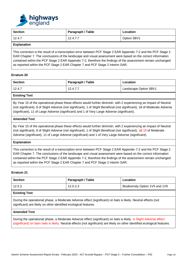

| Section | Paragraph / Table | Location    |
|---------|-------------------|-------------|
| 12.4.7  | 12.4.7.7          | Option 5BV1 |
|         |                   |             |

This correction is the result of a transcription error between PCF Stage 2 EAR Appendix 7-2 and the PCF Stage 2 EAR Chapter 7. The conclusions of the landscape and visual assessment were based on the correct information contained within the PCF Stage 2 EAR Appendix 7-2, therefore the findings of the assessment remain unchanged as reported within the PCF Stage 2 EAR Chapter 7 and PCF Stage 2 Interim SAR.

## **Erratum 20**

| <b>Section</b> | Paragraph / Table | Location              |
|----------------|-------------------|-----------------------|
| 12.4.7         | 12.4.7.7          | Landscape Option 5BV1 |

## **Existing Text**

By Year 15 of the operational phase these effects would further diminish, with 2 experiencing an impact of Neutral (not significant), 8 of Slight Adverse (not significant), 1 of Slight Beneficial (not significant), 18 of Moderate Adverse (significant), 11 of Large Adverse (significant) and 1 of Very Large Adverse (significant).

#### **Amended Text**

By Year 15 of the operational phase these effects would further diminish, with 2 experiencing an impact of Neutral (not significant), 8 of Slight Adverse (not significant), 1 of Slight Beneficial (not significant), 48 19 of Moderate Adverse (significant), 11 of Large Adverse (significant) and 1 of Very Large Adverse (significant).

#### **Explanation**

This correction is the result of a transcription error between PCF Stage 2 EAR Appendix 7-2 and the PCF Stage 2 EAR Chapter 7. The conclusions of the landscape and visual assessment were based on the correct information contained within the PCF Stage 2 EAR Appendix 7-2, therefore the findings of the assessment remain unchanged as reported within the PCF Stage 2 EAR Chapter 7 and PCF Stage 2 Interim SAR.

## **Erratum 21**

| <b>Section</b> | Paragraph / Table | Location                        |
|----------------|-------------------|---------------------------------|
| 12.5.2         | 12.5.2.3          | Biodiversity Option 1V5 and 1V9 |

## **Existing Text**

During the operational phase, a Moderate Adverse effect (significant) on bats is likely. Neutral effects (not significant) are likely on other identified ecological features.

#### **Amended Text**

During the operational phase, a Moderate Adverse effect (significant) on bats is likely. A Slight Adverse effect (significant) on barn owls is likely. Neutral effects (not significant) are likely on other identified ecological features.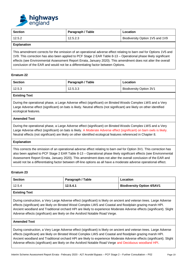

| <b>Section</b> | Paragraph / Table | Location                        |
|----------------|-------------------|---------------------------------|
| 12.5.2         | 12.5.2.3          | Biodiversity Option 1V5 and 1V9 |

This amendment corrects for the omission of an operational adverse effect relating to barn owl for Options 1V5 and 1V9. This correction has also been applied to PCF Stage 2 EAR Table 8-13 – Operational phase likely significant effects (see Environmental Assessment Report Errata, January 2020). This amendment does not alter the overall conclusion of the EAR and would not be a differentiating factor between Options.

## **Erratum 22**

| <b>Section</b> | Paragraph / Table | Location                       |
|----------------|-------------------|--------------------------------|
| 12.5.3         | 12.5.3.3          | <b>Biodiversity Option 3V1</b> |

# **Existing Text**

During the operational phase, a Large Adverse effect (significant) on Binsted Woods Complex LWS and a Very Large Adverse effect (significant) on bats is likely. Neutral effects (not significant) are likely on other identified ecological features.

## **Amended Text**

During the operational phase, a Large Adverse effect (significant) on Binsted Woods Complex LWS and a Very Large Adverse effect (significant) on bats is likely. A Moderate Adverse effect (significant) on barn owls is likely. Neutral effects (not significant) are likely on other identified ecological features referenced in Chapter 8.

## **Explanation**

This corrects the omission of an operational adverse effect relating to barn owl for Option 3V1. This correction has also been applied to PCF Stage 2 EAR Table 8-13 – Operational phase likely significant effects (see Environmental Assessment Report Errata, January 2020). This amendment does not alter the overall conclusion of the EAR and would not be a differentiating factor between off-line options as all have a moderate adverse operational effect.

## **Erratum 23**

| <b>Section</b>       | Paragraph / Table | Location                          |
|----------------------|-------------------|-----------------------------------|
| 12.5.4               | 12.5.4.1          | <b>Biodiversity Option 4/5AV1</b> |
| <b>Existing Text</b> |                   |                                   |

During construction, a Very Large Adverse effect (significant) is likely on ancient and veteran trees. Large Adverse effects (significant) are likely on Binsted Wood Complex LWS and Coastal and floodplain grazing marsh HPI. Ancient woodland and Traditional orchard HPI are likely to experience Moderate Adverse effects (significant). Slight Adverse effects (significant) are likely on the Avisford Notable Road Verge.

#### **Amended Text**

During construction, a Very Large Adverse effect (significant) is likely on ancient and veteran trees. Large Adverse effects (significant) are likely on Binsted Wood Complex LWS and Coastal and floodplain grazing marsh HPI. Ancient woodland and Traditional orchard HPI are likely to experience Moderate Adverse effects (significant). Slight Adverse effects (significant) are likely on the Avisford Notable Road Verge and Deciduous woodland HPI.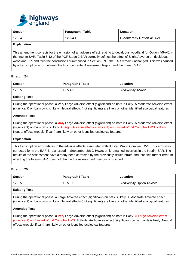

| <b>Section</b> | Paragraph / Table | Location                          |
|----------------|-------------------|-----------------------------------|
| 12.5.4         | 12.5.4.1          | <b>Biodiversity Option 4/5AV1</b> |
| Evnlonation    |                   |                                   |

This amendment corrects for the omission of an adverse effect relating to deciduous woodland for Option 4/5AV1 in the Interim SAR. Table 8-12 of the PCF Stage 2 EAR correctly defines the effect of Slight Adverse on deciduous woodland HPI and thus the conclusions summarised in Section 8.9.3 the EAR remain unchanged. This was caused by a transcription error between the Environmental Assessment Report and the Interim SAR.

## **Erratum 24**

| <b>Section</b> | Paragraph / Table | Location            |
|----------------|-------------------|---------------------|
| 12.5.5         | 12.5.4.3          | Biodiversity 4/5AV1 |

## **Existing Text**

During the operational phase, a Very Large Adverse effect (significant) on bats is likely. A Moderate Adverse effect (significant) on barn owls is likely. Neutral effects (not significant) are likely on other identified ecological features.

## **Amended Text**

During the operational phase, a Very Large Adverse effect (significant) on bats is likely. A Moderate Adverse effect (significant) on barn owls is likely. A Slight Adverse effect (significant) on Binsted Wood Complex LWS is likely. Neutral effects (not significant) are likely on other identified ecological features.

#### **Explanation**

This transcription error relates to the adverse effects associated with Binsted Wood Complex LWS. This error was corrected for in the EAR Errata issued in September 2019. However, it remained incorrect in the Interim SAR. The results of the assessment have already been corrected by the previously issued errata and thus this further erratum affecting the Interim SAR does not change the assessment previously provided.

## **Erratum 25**

| <b>Section</b>                      | Paragraph / Table | Location                   |
|-------------------------------------|-------------------|----------------------------|
| 12.5.5                              | 12.5.5.3          | Biodiversity Option 4/5AV2 |
| المعادية والمستلفظ المرادية والمراد |                   |                            |

#### **Existing Text**

During the operational phase, a Large Adverse effect (significant) on bats is likely. A Moderate Adverse effect (significant) on barn owls is likely. Neutral effects (not significant) are likely on other identified ecological features.

#### **Amended Text**

During the operational phase, a Very Large Adverse effect (significant) on bats is likely. A Large Adverse effect (significant) on Binsted Wood Complex LWS. A Moderate Adverse effect (significant) on barn owls is likely. Neutral effects (not significant) are likely on other identified ecological features.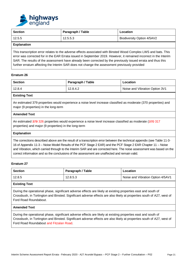

| <b>Section</b>     | Paragraph / Table | Location                   |
|--------------------|-------------------|----------------------------|
| 12.5.5             | 12.5.5.3          | Biodiversity Option 4/5AV2 |
| <b>Explanation</b> |                   |                            |

This transcription error relates to the adverse effects associated with Binsted Wood Complex LWS and bats. This error was corrected for in the EAR Errata issued in September 2019. However, it remained incorrect in the Interim SAR. The results of the assessment have already been corrected by the previously issued errata and thus this further erratum affecting the Interim SAR does not change the assessment previously provided

## **Erratum 26**

| Section | Paragraph / Table | Location                       |
|---------|-------------------|--------------------------------|
| 12.8.4  | 12.8.4.2          | Noise and Vibration Option 3V1 |

## **Existing Text**

An estimated 379 properties would experience a noise level increase classified as moderate (370 properties) and major (9 properties) in the long-term

#### **Amended Text**

An estimated 379 326 properties would experience a noise level increase classified as moderate (370 317 properties) and major (9 properties) in the long-term

#### **Explanation**

The corrections described above are the result of a transcription error between the technical appendix (see Table 11-3- 16 of Appendix 11-3 – Noise Model Results of the PCF Stage 2 EAR) and the PCF Stage 2 EAR Chapter 11 – Noise and Vibration, which carried through to the Interim SAR and are corrected here. The noise assessment was based on the correct information and so the conclusions of the assessment are unaffected and remain valid.

#### **Erratum 27**

| <b>Section</b> | Paragraph / Table | Location                          |
|----------------|-------------------|-----------------------------------|
| 12.8.5         | 12.8.5.3          | Noise and Vibration Option 4/5AV1 |

## **Existing Text**

During the operational phase, significant adverse effects are likely at existing properties east and south of Crossbush, in Tortington and Binsted. Significant adverse effects are also likely at properties south of A27, west of Ford Road Roundabout.

## **Amended Text**

During the operational phase, significant adverse effects are likely at existing properties east and south of Crossbush, in Tortington and Binsted. Significant adverse effects are also likely at properties south of A27, west of Ford Road Roundabout and Fitzalan Road.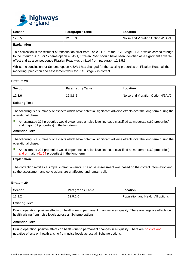

| <b>Section</b> | Paragraph / Table | Location                          |  |
|----------------|-------------------|-----------------------------------|--|
| 12.8.5         | 12.8.5.3          | Noise and Vibration Option 4/5AV1 |  |
|                |                   |                                   |  |

This correction is the result of a transcription error from Table 11-21 of the PCF Stage 2 EAR, which carried through to the Interim SAR. For Scheme option 4/5AV1, Fitzalan Road should have been identified as a significant adverse effect and as a consequence Fitzalan Road was omitted from paragraph 12.8.5.3.

Whilst the conclusion for Scheme option 4/5AV1 has changed for the existing properties on Fitzalan Road, all the modelling, prediction and assessment work for PCF Stage 2 is correct.

#### **Erratum 28**

| Section | Paragraph / Table | Location                          |
|---------|-------------------|-----------------------------------|
| 12.8.6  | 12.8.6.2          | Noise and Vibration Option 4/5AV2 |
|         |                   |                                   |

## **Existing Text**

The following is a summary of aspects which have potential significant adverse effects over the long-term during the operational phase.

■ An estimated 224 properties would experience a noise level increase classified as moderate (160 properties) and major (61 properties) in the long-term.

#### **Amended Text**

The following is a summary of aspects which have potential significant adverse effects over the long-term during the operational phase.

■ An estimated 224 properties would experience a noise level increase classified as moderate (160 properties) and or major (64 64 properties) in the long-term.

## **Explanation**

The correction rectifies a simple subtraction error. The noise assessment was based on the correct information and so the assessment and conclusions are unaffected and remain valid

#### **Erratum 29**

| <b>Section</b>                                                                                                                                                                     | Paragraph / Table | Location                          |
|------------------------------------------------------------------------------------------------------------------------------------------------------------------------------------|-------------------|-----------------------------------|
| 12.9.2                                                                                                                                                                             | 12.9.2.6          | Population and Health All options |
| <b>Existing Text</b>                                                                                                                                                               |                   |                                   |
| During operation, positive effects on health due to permanent changes in air quality. There are negative effects on<br>health arising from noise levels across all Scheme options. |                   |                                   |
| <b>Amended Text</b>                                                                                                                                                                |                   |                                   |
| During operation, positive effects on health due to permanent changes in air quality. There are positive and                                                                       |                   |                                   |

negative effects on health arising from noise levels across all Scheme options.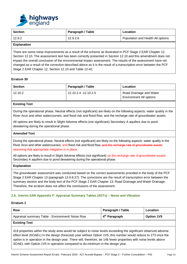

| <b>Section</b>     | Paragraph / Table | Location                          |
|--------------------|-------------------|-----------------------------------|
| 12.9.2             | 12.9.2.6          | Population and Health All options |
| <b>Explanation</b> |                   |                                   |

There are some noise improvements as a result of the scheme as illustrated in PCF Stage 2 EAR Chapter 12, Section 12.10. The assessment text has been correctly presented in Section 12.10 and this amendment does not impact the overall conclusion of the environmental impact assessment. The results of the assessment have not changed as a result of the correction described above as it is the result of a transcription error between the PCF Stage 2 EAR Chapter 12, Section 12.10 and Table 12-42.

## **Erratum 30**

| <b>Section</b> | Paragraph / Table    | Location                                                  |
|----------------|----------------------|-----------------------------------------------------------|
| 12.10.2        | 12.10.2.4 -12.10.2.5 | Road Drainage and Water<br><b>Environment All options</b> |

## **Existing Text**

During the operational phase, Neutral effects (not significant) are likely on the following aspects: water quality in the River Arun and other watercourses, and flood risk and flood flow, and the recharge rate of groundwater assets.

All options are likely to result in Slight Adverse effects (not significant) Secondary A aquifers due to pond dewatering during the operational phase.

#### **Amended Text**

During the operational phase. Neutral effects (not significant) are likely on the following aspects: water quality in the River Arun and other watercourses, and flood risk and flood flow, and the recharge rate of groundwater assets assuming that appropriate mitigation is in place.

All options are likely to result in Slight Adverse effects (not significant) on the recharge rate of groundwater assets Secondary A aquifers due to pond dewatering during the operational phase.

#### **Explanation**

The groundwater assessment was conducted based on the correct assessments provided in the body of the PCF Stage 2 EAR Chapter 13 (paragraph 13.9.8.27). The corrections are the result of transcription error between the summary section and the body text of the PCF Stage 2 EAR Chapter 13: Road Drainage and Water Drainage. Therefore, the erratum does not affect the conclusions of the assessment.

## **2.6. Interim SAR Appendix F: Appraisal Summary Tables (ASTs) – Noise and Vibration**

#### **Erratum 1**

| <b>Row</b>                                       | Paragraph / Table         | Location          |
|--------------------------------------------------|---------------------------|-------------------|
| Appraisal summary Table - Environment/ Noise Row | 4 <sup>th</sup> Paragraph | <b>Option 1V5</b> |
| <b>Existing Text</b>                             |                           |                   |

419 properties within the study area would be subject to noise levels exceeding the significant observed adverse effect level (SOAEL) in the design (forecast) year without Option 1V5, this number would reduce to 273 once the option is in operation in the design year. There will, therefore, be 146 fewer properties with noise levels above SOAEL with Option 1V5 in operation compared to do-minimum in the design year.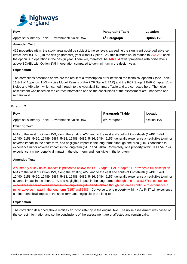

| <b>Row</b>                                       | Paragraph / Table         | Location          |
|--------------------------------------------------|---------------------------|-------------------|
| Appraisal summary Table - Environment/ Noise Row | 4 <sup>th</sup> Paragraph | <b>Option 1V5</b> |

## **Amended Text**

419 properties within the study area would be subject to noise levels exceeding the significant observed adverse effect level (SOAEL) in the design (forecast) year without Option 1V5, this number would reduce to 273 255 once the option is in operation in the design year. There will, therefore, be 446 164 fewer properties with noise levels above SOAEL with Option 1V5 in operation compared to do-minimum in the design year.

#### **Explanation**

The corrections described above are the result of a transcription error between the technical appendix (see Table 11-3-2 of Appendix 11-3 – Noise Model Results of the PCF Stage 2 EAR) and the PCF Stage 2 EAR Chapter 11 – Noise and Vibration, which carried through to the Appraisal Summary Table and are corrected here. The noise assessment was based on the correct information and so the conclusions of the assessment are unaffected and remain valid.

## **Erratum 2**

| Row                                              | Paragraph / Table         | Location   |
|--------------------------------------------------|---------------------------|------------|
| Appraisal summary Table - Environment/ Noise Row | 8 <sup>th</sup> Paragraph | Option 1V9 |

## **Existing Text**

NIAs to the west of Option 1V9, along the existing A27, and to the east and south of Crossbush (12491, 5491, 12490, 6158, 5490, 12489, 5487, 5488, 12488, 5485, 5486, 5484, 6157) generally experience a negligible to minor adverse impact in the short-term, and negligible impact in the long-term; although one area (6157) continues to experience minor adverse impact in the long-term (6157 and 5486). Conversely, one property within NIAs 5487 will experience a minor beneficial impact in the short-term and negligible in the long-term.

## **Amended Text**

A summary of key noise impacts is presented below; the PCF Stage 2 EAR Chapter 11 provides a full description. NIAs to the west of Option 1V9, along the existing A27, and to the east and south of Crossbush (12491, 5491, 12490, 6158, 5490, 12489, 5487, 5488, 12488, 5485, 5486, 5484, 6157) generally experience a negligible to minor adverse impact in the short-term, and negligible impact in the long-term; although one area (6157) continues to experience minor adverse impact in the long-term (6157 and 5486) although two areas continue to experience a minor adverse impact in the long-term (6157 and 5486). Conversely, one property within NIAs 5487 will experience a minor beneficial impact in the short-term and negligible in the long-term.

#### **Explanation**

The correction described above rectifies an inconsistency in the original text. The noise assessment was based on the correct information and so the conclusions of the assessment are unaffected and remain valid.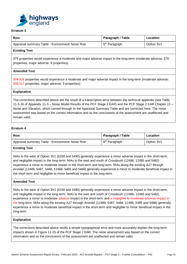

| Row                                              | Paragraph / Table         | Location   |
|--------------------------------------------------|---------------------------|------------|
| Appraisal summary Table - Environment/ Noise Row | 5 <sup>th</sup> Paragraph | Option 3V1 |
| _ _ _ _                                          |                           |            |

# **Existing Text**

379 properties would experience a moderate and major adverse impact in the long-term (moderate adverse: 370 properties; major adverse: 9 properties).

# **Amended Text**

379 326 properties would experience a moderate and major adverse impact in the long-term (moderate adverse: 370 317 properties; major adverse: 9 properties).

#### **Explanation**

The corrections described above are the result of a transcription error between the technical appendix (see Table 11-3-16 of Appendix 11-3 – Noise Model Results of the PCF Stage 2 EAR) and the PCF Stage 2 EAR Chapter 11 – Noise and Vibration, which carried through to the Appraisal Summary Table and are corrected here. The noise assessment was based on the correct information and so the conclusions of the assessment are unaffected and remain valid.

## **Erratum 4**

| Row                                              | Paragraph / Table         | Location   |
|--------------------------------------------------|---------------------------|------------|
| Appraisal summary Table - Environment/ Noise Row | 8 <sup>th</sup> Paragraph | Option 3V1 |
| _____                                            |                           |            |

## **Existing Text**

NIAs to the west of Option 3V1 (6158 and 5490) generally experience a minor adverse impact in the short-term, and negligible impact in the long-term. NIAs to the east and south of Crossbush (12486, 12485 and 5482) experience a minor to moderate impact in the short-term and long-term. NIAs along the existing A27 through Arundel (12489, 5487, 5488, 12488, 5485 and 5486) generally experience a minor to moderate beneficial impact in the short-term and negligible to minor beneficial impact in the long-term.

#### **Amended Text**

NIAs to the west of Option 3V1 (6158 and 5490) generally experience a minor adverse impact in the short-term, and negligible impact in the long-term. NIAs to the east and south of Crossbush (12486, 12485 and 5482) experience a minor to moderate adverse impact in the short-term and a negligible to moderate adverse impact in the long-term. NIAs along the existing A27 through Arundel (12489, 5487, 5488, 12488, 5485 and 5486) generally experience a minor to moderate beneficial impact in the short-term and negligible to minor beneficial impact in the long-term.

#### **Explanation**

The corrections described above rectify a simple typographical error and more accurately explain the long-term impacts shown in Figure 11-25 of the PCF Stage 2 EAR. The noise assessment was based on the correct information and so the conclusions of the assessment are unaffected and remain valid.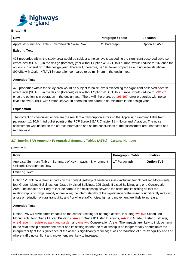

| Row                                              | Paragraph / Table         | Location      |
|--------------------------------------------------|---------------------------|---------------|
| Appraisal summary Table - Environment/ Noise Row | 4 <sup>th</sup> Paragraph | Option 4/5AV1 |

## **Existing Text**

428 properties within the study area would be subject to noise levels exceeding the significant observed adverse effect level (SOAEL) in the design (forecast) year without Option 4/5AV1, this number would reduce to 232 once the option is in operation in the design year. There will, therefore, be 196 fewer properties with noise levels above SOAEL with Option 4/5AV1 in operation compared to do-minimum in the design year.

#### **Amended Text**

428 properties within the study area would be subject to noise levels exceeding the significant observed adverse effect level (SOAEL) in the design (forecast) year without Option 4/5AV1, this number would reduce to 232 231 once the option is in operation in the design year. There will, therefore, be 196 197 fewer properties with noise levels above SOAEL with Option 4/5AV1 in operation compared to do-minimum in the design year.

#### **Explanation**

The corrections described above are the result of a transcription error into the Appraisal Summary Table from paragraph 11.10.6 (third bullet point) of the PCF Stage 2 EAR Chapter 11 – Noise and Vibration. The noise assessment was based on the correct information and so the conclusions of the assessment are unaffected and remain valid.

## **2.7. Interim SAR Appendix F: Appraisal Summary Tables (ASTs) – Cultural Heritage**

#### **Erratum 1**

| <b>Row</b>                                                                                   | Paragraph / Table         | Location   |
|----------------------------------------------------------------------------------------------|---------------------------|------------|
| Appraisal Summary Table – Summary of Key Impacts - Environment<br>/ Historic Environment Row | 1 <sup>st</sup> Paragraph | Option 1V5 |
| <b>Fxisting Text</b>                                                                         |                           |            |

## **Existing Text**

Option 1V5 will have direct impacts on the context (setting) of heritage assets, including two Scheduled Monuments, four Grade I Listed Buildings, four Grade II\* Listed Buildings, 205 Grade II Listed Buildings and one Conservation Area. The impacts are likely to include harm to the relationship between the asset and its setting so that the relationship is no longer readily appreciable; the interpretability of the significance of the asset is significantly reduced; a loss or reduction of rural tranquillity and / or where traffic noise, light and movement are likely to increase.

#### **Amended Text**

Option 1V5 will have direct impacts on the context (setting) of heritage assets, including two five Scheduled Monuments, four Grade I Listed Buildings, *four six Grade II<sup>\*</sup>* Listed Buildings, 205 206 Grade II Listed Buildings, one Grade II<sup>\*</sup> registered park and garden and one two Conservation Areas. The impacts are likely to include harm to the relationship between the asset and its setting so that the relationship is no longer readily appreciable; the interpretability of the significance of the asset is significantly reduced; a loss or reduction of rural tranquillity and / or where traffic noise, light and movement are likely to increase.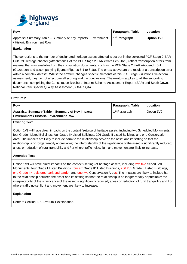

| <b>Row</b>                                                                                   | Paragraph / Table         | Location          |
|----------------------------------------------------------------------------------------------|---------------------------|-------------------|
| Appraisal Summary Table - Summary of Key Impacts - Environment<br>/ Historic Environment Row | 1 <sup>st</sup> Paragraph | <b>Option 1V5</b> |
| <b>Explanation</b>                                                                           |                           |                   |

The corrections to the number of designated heritage assets affected is set out in the corrected PCF Stage 2 EAR Cultural Heritage chapter (Attachment 1 of the PCF Stage 2 EAR errata Feb 2020) reflect transcription errors from material that was available from the consultation documents, such as the PCF Stage 2 EAR –Appendix 6-1 (Gazetteer) and accompanying figures (Figures 6-1 to 6-18). The errata above are the result of a transcription error within a complex dataset. Whilst the erratum changes specific elements of this PCF Stage 2 (Options Selection) assessment, they do not affect overall scoring and the conclusions. The erratum applies to all the supporting documents, comprising the Consultation Brochure, Interim Scheme Assessment Report (SAR) and South Downs National Park Special Quality Assessment (SDNP SQA).

## **Erratum 2**

| Row                                                                                                 | Paragraph / Table         | Location   |
|-----------------------------------------------------------------------------------------------------|---------------------------|------------|
| Appraisal Summary Table – Summary of Key Impacts -<br><b>Environment / Historic Environment Row</b> | 1 <sup>st</sup> Paragraph | Option 1V9 |
| <b>Existing Text</b>                                                                                |                           |            |

## **Existing Text**

Option 1V9 will have direct impacts on the context (setting) of heritage assets, including two Scheduled Monuments, four Grade I Listed Buildings, four Grade II\* Listed Buildings, 206 Grade II Listed Buildings and one Conservation Area. The impacts are likely to include harm to the relationship between the asset and its setting so that the relationship is no longer readily appreciable; the interpretability of the significance of the asset is significantly reduced; a loss or reduction of rural tranquillity and / or where traffic noise, light and movement are likely to increase.

## **Amended Text**

Option 1V9 will have direct impacts on the context (setting) of heritage assets, including two five Scheduled Monuments, four Grade I Listed Buildings, four six Grade II\* Listed Buildings, 206 205 Grade II Listed Buildings, one Grade II\* registered park and garden and one two Conservation Areas. The impacts are likely to include harm to the relationship between the asset and its setting so that the relationship is no longer readily appreciable; the interpretability of the significance of the asset is significantly reduced; a loss or reduction of rural tranquillity and / or where traffic noise, light and movement are likely to increase.

#### **Explanation**

Refer to Section 2.7, Erratum 1 explanation.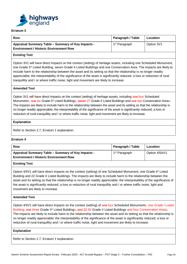

| Row                                                                                                 | Paragraph / Table         | Location   |
|-----------------------------------------------------------------------------------------------------|---------------------------|------------|
| Appraisal Summary Table - Summary of Key Impacts -<br><b>Environment / Historic Environment Row</b> | 1 <sup>st</sup> Paragraph | Option 3V1 |

## **Existing Text**

Option 3V1 will have direct impacts on the context (setting) of heritage assets, including one Scheduled Monument, one Grade II\* Listed Building, seven Grade II Listed Buildings and one Conservation Area. The impacts are likely to include harm to the relationship between the asset and its setting so that the relationship is no longer readily appreciable; the interpretability of the significance of the asset is significantly reduced; a loss or reduction of rural tranquillity and / or where traffic noise, light and movement are likely to increase.

## **Amended Text**

Option 3V1 will have direct impacts on the context (setting) of heritage assets, including one four Scheduled Monuments, one six Grade II\* Listed Buildings, seven 27 Grade II Listed Buildings and one two Conservation Areas. The impacts are likely to include harm to the relationship between the asset and its setting so that the relationship is no longer readily appreciable; the interpretability of the significance of the asset is significantly reduced; a loss or reduction of rural tranquillity and / or where traffic noise, light and movement are likely to increase.

#### **Explanation**

Refer to Section 2.7, Erratum 1 explanation.

## **Erratum 4**

| Row                                                                                                 | Paragraph / Table         | Location      |
|-----------------------------------------------------------------------------------------------------|---------------------------|---------------|
| Appraisal Summary Table – Summary of Key Impacts -<br><b>Environment / Historic Environment Row</b> | 1 <sup>st</sup> Paragraph | Option 4/5AV1 |
| <b>Existing Text</b>                                                                                |                           |               |

Option 4/5V1 will have direct impacts on the context (setting) of one Scheduled Monument, one Grade II\* Listed Building and 22 Grade II Listed Buildings. The impacts are likely to include harm to the relationship between the asset and its setting so that the relationship is no longer readily appreciable; the interpretability of the significance of the asset is significantly reduced; a loss or reduction of rural tranquillity and / or where traffic noise, light and movement are likely to increase.

#### **Amended Text**

Option 4/5V1 will have direct impacts on the context (setting) of one four Scheduled Monuments, one Grade I Listed Building, one three Grade II\* Listed Buildings, and 22 55 Grade II Listed Buildings and four Conservation Areas. The impacts are likely to include harm to the relationship between the asset and its setting so that the relationship is no longer readily appreciable; the interpretability of the significance of the asset is significantly reduced; a loss or reduction of rural tranquillity and / or where traffic noise, light and movement are likely to increase.

#### **Explanation**

Refer to Section 2.7, Erratum 1 explanation.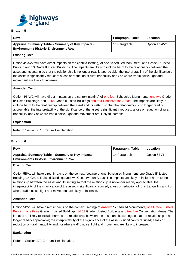

| Row                                                                                                 | Paragraph / Table         | Location      |
|-----------------------------------------------------------------------------------------------------|---------------------------|---------------|
| Appraisal Summary Table – Summary of Key Impacts -<br><b>Environment / Historic Environment Row</b> | 1 <sup>st</sup> Paragraph | Option 4/5AV2 |

## **Existing Text**

Option 4/5AV2 will have direct impacts on the context (setting) of one Scheduled Monument, one Grade II\* Listed Building and 13 Grade II Listed Buildings. The impacts are likely to include harm to the relationship between the asset and its setting so that the relationship is no longer readily appreciable; the interpretability of the significance of the asset is significantly reduced; a loss or reduction of rural tranquillity and / or where traffic noise, light and movement are likely to increase.

## **Amended Text**

Option 4/5AV2 will have direct impacts on the context (setting) of one four Scheduled Monuments, one two Grade II\* Listed Buildings, and 43 54 Grade II Listed Buildings and four Conservation Areas. The impacts are likely to include harm to the relationship between the asset and its setting so that the relationship is no longer readily appreciable; the interpretability of the significance of the asset is significantly reduced; a loss or reduction of rural tranquillity and / or where traffic noise, light and movement are likely to increase.

#### **Explanation**

Refer to Section 2.7, Erratum 1 explanation.

#### **Erratum 6**

| Row                                                                                                 | Paragraph / Table         | Location    |
|-----------------------------------------------------------------------------------------------------|---------------------------|-------------|
| Appraisal Summary Table - Summary of Key Impacts -<br><b>Environment / Historic Environment Row</b> | 1 <sup>st</sup> Paragraph | Option 5BV1 |
| <b>Existing Text</b>                                                                                |                           |             |

Option 5BV1 will have direct impacts on the context (setting) of one Scheduled Monument, one Grade II\* Listed Building, 14 Grade II Listed Buildings and two Conservation Areas. The impacts are likely to include harm to the relationship between the asset and its setting so that the relationship is no longer readily appreciable; the interpretability of the significance of the asset is significantly reduced; a loss or reduction of rural tranquillity and / or where traffic noise, light and movement are likely to increase.

## **Amended Text**

Option 5BV1 will have direct impacts on the context (setting) of one two Scheduled Monuments, one Grade I Listed Building, one three Grade II\* Listed Buildings, 44 63 Grade II Listed Buildings and two five Conservation Areas. The impacts are likely to include harm to the relationship between the asset and its setting so that the relationship is no longer readily appreciable; the interpretability of the significance of the asset is significantly reduced; a loss or reduction of rural tranquillity and / or where traffic noise, light and movement are likely to increase.

#### **Explanation**

Refer to Section 2.7, Erratum 1 explanation.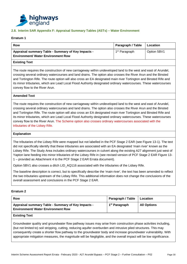

## **2.8. Interim SAR Appendix F: Appraisal Summary Tables (ASTs) – Water Environment**

#### **Erratum 1**

| Row                                                                                             | Paragraph / Table         | <b>Location</b> |
|-------------------------------------------------------------------------------------------------|---------------------------|-----------------|
| Appraisal summary Table - Summary of Key Impacts -<br><b>Environment/ Water Environment Row</b> | 1 <sup>st</sup> Paragraph | Option 5BV1     |

#### **Existing Text**

The route requires the construction of new carriageway within undeveloped land to the west and east of Arundel, crossing several ordinary watercourses and land drains. The option also crosses the River Arun and the Binsted and Tortington Rife. The route option will also cross an EA designated main river Tortington and Binsted Rife and its minor tributaries, which are Lead Local Flood Authority designated ordinary watercourses. These watercourses convey flow to the River Arun.

#### **Amended Text**

The route requires the construction of new carriageway within undeveloped land to the west and east of Arundel, crossing several ordinary watercourses and land drains. The option also crosses the River Arun and the Binsted and Tortington Rife. The route option will also cross an EA designated main river Tortington and Binsted Rife and its minor tributaries, which are Lead Local Flood Authority designated ordinary watercourses. These watercourses convey flow to the River Arun. The Scheme option also crosses ordinary watercourses associated with the tributaries of the Lidsey Rife.

#### **Explanation**

The tributaries of the Lidsey Rife were mapped but not labelled in the PCF Stage 2 EAR (see Figure 13-1). The text did not specifically identify that these tributaries are associated with an EA designated 'main river' known as the Lidsey Rife. The Study Area includes ordinary watercourses in culvert along the existing A27 alignment just west of Yapton lane feeding into minor tributaries of the Lidsey Rife in (see revised version of PCF Stage 2 EAR Figure 13- 1 – provided as Attachment 4 to the PCF Stage 2 EAR Errata document).

Option 5BV1 also crosses a ditch LID\_AQ116 associated with the tributaries of the Lidsey Rife.

The baseline description is correct, but to specifically describe the 'main river', the text has been amended to reflect the two tributaries upstream of the Lidsey Rife. This additional information does not change the conclusions of the overall assessment and conclusions in the PCF Stage 2 EAR.

#### **Erratum 2**

| <b>Row</b>                                                                                                      | Paragraph / Table         | Location           |
|-----------------------------------------------------------------------------------------------------------------|---------------------------|--------------------|
| Appraisal summary Table - Summary of Key Impacts -<br><b>Environment/ Water Environment Row</b>                 | 1 <sup>st</sup> Paragraph | <b>All Options</b> |
| <b>Existing Text</b>                                                                                            |                           |                    |
| Groundwater quality and groundwater flow pathway issues may arise from construction phase activities including, |                           |                    |

(but not limited to) soil stripping, cutting, reducing aquifer overburden and intrusive piled structures. This may consequently create a shorter flow pathway to the groundwater body and increase groundwater vulnerability. With appropriate mitigation measures, the magnitude will be Negligible, and the overall impact will be low significance.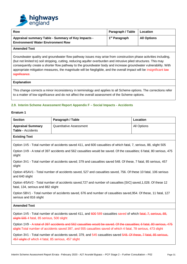

| Row                                                                                             | Paragraph / Table   Location |                    |
|-------------------------------------------------------------------------------------------------|------------------------------|--------------------|
| Appraisal summary Table - Summary of Key Impacts -<br><b>Environment/ Water Environment Row</b> | 1 <sup>st</sup> Paragraph    | <b>All Options</b> |
| <b>Amended Text</b>                                                                             |                              |                    |

Groundwater quality and groundwater flow pathway issues may arise from construction phase activities including, (but not limited to) soil stripping, cutting, reducing aquifer overburden and intrusive piled structures. This may consequently create a shorter flow pathway to the groundwater body and increase groundwater vulnerability. With appropriate mitigation measures, the magnitude will be Negligible, and the overall impact will be insignificant low significance.

#### **Explanation**

This change corrects a minor inconsistency in terminology and applies to all Scheme options. The corrections refer to a matter of low significance and do not affect the overall assessment of the Scheme options.

#### **2.9. Interim Scheme Assessment Report Appendix F – Social Impacts - Accidents**

#### **Erratum 1**

| <b>Section</b>                                                                                                                                      | Paragraph / Table                                                                                                    | Location    |
|-----------------------------------------------------------------------------------------------------------------------------------------------------|----------------------------------------------------------------------------------------------------------------------|-------------|
| <b>Appraisal Summary</b>                                                                                                                            | Quantitative Assessment                                                                                              | All Options |
| <b>Table - Accidents</b>                                                                                                                            |                                                                                                                      |             |
| <b>Existing Text</b>                                                                                                                                |                                                                                                                      |             |
|                                                                                                                                                     | Option 1V5 - Total number of accidents saved 411, and 600 casualties of which fatal, 7, serious, 88, slight 505      |             |
| slight                                                                                                                                              | Option 1V9 - A total of 397 accidents and 562 casualties would be saved. Of the casualties; 6 fatal, 80 serious, 475 |             |
| Option 3V1 - Total number of accidents saved; 379 and casualties saved 548. Of these, 7 fatal, 85 serious, 457<br>slight                            |                                                                                                                      |             |
| Option 4/5AV1 - Total number of accidents saved, 527 and casualties saved, 756. Of these 10 fatal, 106 serious<br>and 640 slight                    |                                                                                                                      |             |
| Option 4/5AV2 - Total number of accidents saved, 727 and number of casualites [SIC] saved, 1,028. Of these 12<br>fatal, 134, serious and 882 slight |                                                                                                                      |             |
| Option 5BV1 - Total number of accidents saved, 676 and number of casualties saved, 954. Of these, 11 fatal, 127<br>serious and 816 slight           |                                                                                                                      |             |
| <b>Amended Text</b>                                                                                                                                 |                                                                                                                      |             |

Option 1V5 - Total number of accidents saved 411, and 600 589 casualties saved of which fatal, 7, serious, 88, slight 505 4 fatal, 85 serious, 500 slight

Option 1V9 - A total of 397 accidents and 562 casualties would be saved. Of the casualties: 6 fatal, 80 serious, 475 slight-Total number of accidents saved 397, and 555 casualties saved of which 4 fatal, 78 serious, 473 slight

Option 3V1 - Total number of accidents saved; 379, and 545 casualties saved 548. Of these, 7 fatal, 85 serious, 457 slight of which 4 fatal, 85 serious, 457 slight